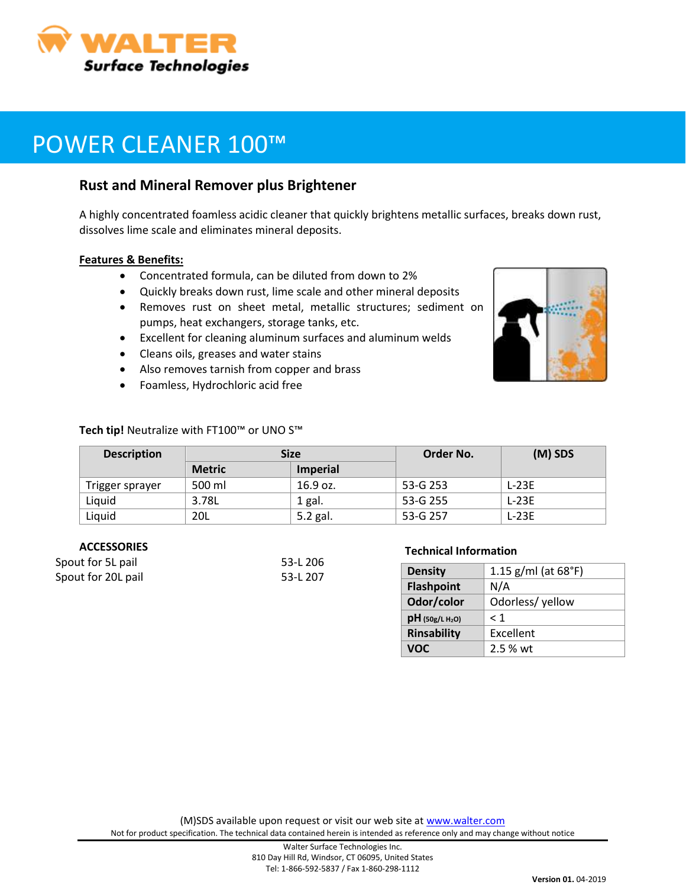

# POWER CLEANER 100™

## **Rust and Mineral Remover plus Brightener**

A highly concentrated foamless acidic cleaner that quickly brightens metallic surfaces, breaks down rust, dissolves lime scale and eliminates mineral deposits.

#### **Features & Benefits:**

- Concentrated formula, can be diluted from down to 2%
- Quickly breaks down rust, lime scale and other mineral deposits
- Removes rust on sheet metal, metallic structures; sediment on pumps, heat exchangers, storage tanks, etc.
- Excellent for cleaning aluminum surfaces and aluminum welds
- Cleans oils, greases and water stains
- Also removes tarnish from copper and brass
- Foamless, Hydrochloric acid free

#### **Tech tip!** Neutralize with FT100™ or UNO S™

| <b>Description</b> | <b>Size</b>   |                 | Order No. | $(M)$ SDS |
|--------------------|---------------|-----------------|-----------|-----------|
|                    | <b>Metric</b> | <b>Imperial</b> |           |           |
| Trigger sprayer    | 500 ml        | 16.9 oz.        | 53-G 253  | L-23E     |
| Liauid             | 3.78L         | $1$ gal.        | 53-G 255  | L-23E     |
| Liquid             | 20L           | 5.2 gal.        | 53-G 257  | $L-23E$   |

#### **ACCESSORIES**

| Spout for 5L pail  | 53-L 206 |
|--------------------|----------|
| Spout for 20L pail | 53-L 207 |

#### **Technical Information**

| <b>Density</b>                | 1.15 $g/ml$ (at 68°F) |  |
|-------------------------------|-----------------------|--|
| <b>Flashpoint</b>             | N/A                   |  |
| Odor/color                    | Odorless/yellow       |  |
| $pH$ (50g/L H <sub>2</sub> O) | < 1                   |  |
| <b>Rinsability</b>            | Excellent             |  |
| VOC                           | 2.5 % wt              |  |

(M)SDS available upon request or visit our web site at [www.walter.com](http://www.walter.com/)

Not for product specification. The technical data contained herein is intended as reference only and may change without notice